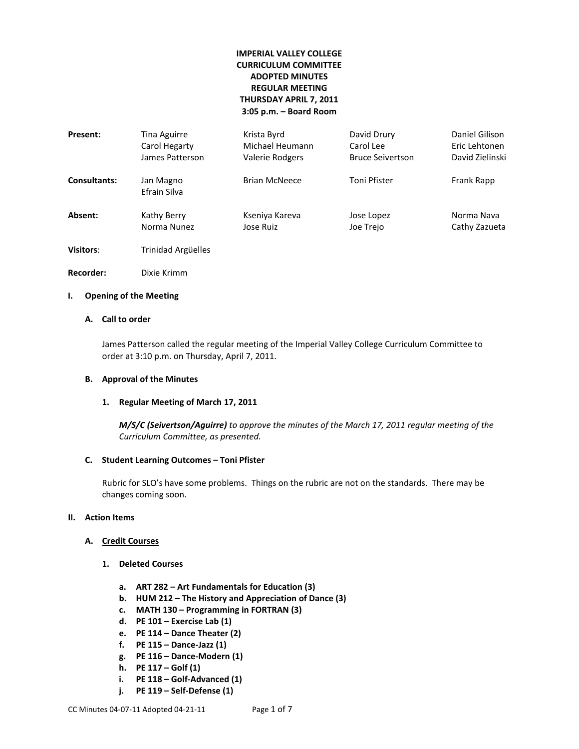# **IMPERIAL VALLEY COLLEGE CURRICULUM COMMITTEE ADOPTED MINUTES REGULAR MEETING THURSDAY APRIL 7, 2011 3:05 p.m. – Board Room**

| Present:            | Tina Aguirre              | Krista Byrd          | David Drury             | Daniel Gilison  |
|---------------------|---------------------------|----------------------|-------------------------|-----------------|
|                     | Carol Hegarty             | Michael Heumann      | Carol Lee               | Eric Lehtonen   |
|                     | James Patterson           | Valerie Rodgers      | <b>Bruce Seivertson</b> | David Zielinski |
| <b>Consultants:</b> | Jan Magno<br>Efrain Silva | <b>Brian McNeece</b> | Toni Pfister            | Frank Rapp      |
| Absent:             | Kathy Berry               | Kseniya Kareva       | Jose Lopez              | Norma Nava      |
|                     | Norma Nunez               | Jose Ruiz            | Joe Trejo               | Cathy Zazueta   |
| <b>Visitors:</b>    | Trinidad Argüelles        |                      |                         |                 |

**Recorder:** Dixie Krimm

## **I. Opening of the Meeting**

## **A. Call to order**

James Patterson called the regular meeting of the Imperial Valley College Curriculum Committee to order at 3:10 p.m. on Thursday, April 7, 2011.

#### **B. Approval of the Minutes**

#### **1. Regular Meeting of March 17, 2011**

*M/S/C (Seivertson/Aguirre) to approve the minutes of the March 17, 2011 regular meeting of the Curriculum Committee, as presented.* 

#### **C. Student Learning Outcomes – Toni Pfister**

Rubric for SLO's have some problems. Things on the rubric are not on the standards. There may be changes coming soon.

## **II. Action Items**

## **A. Credit Courses**

- **1. Deleted Courses**
	- **a. ART 282 – Art Fundamentals for Education (3)**
	- **b. HUM 212 – The History and Appreciation of Dance (3)**
	- **c. MATH 130 – Programming in FORTRAN (3)**
	- **d. PE 101 – Exercise Lab (1)**
	- **e. PE 114 – Dance Theater (2)**
	- **f. PE 115 – Dance-Jazz (1)**
	- **g. PE 116 – Dance-Modern (1)**
	- **h. PE 117 – Golf (1)**
	- **i. PE 118 – Golf-Advanced (1)**
	- **j. PE 119 – Self-Defense (1)**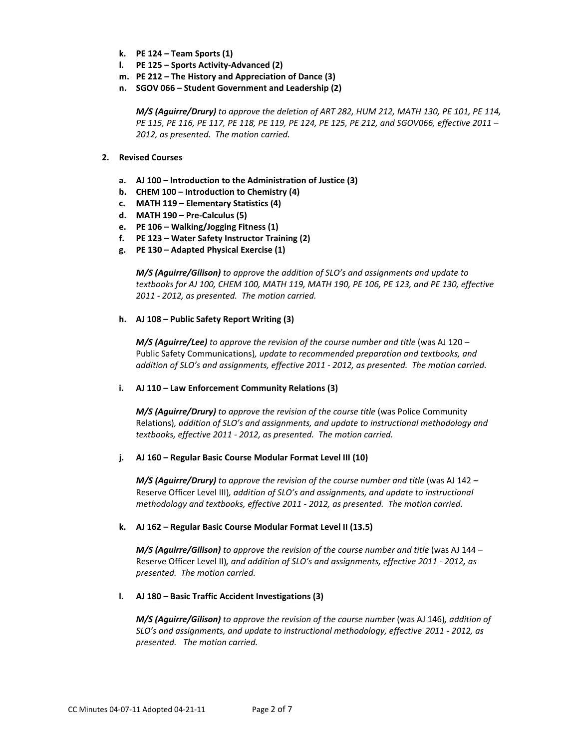- **k. PE 124 – Team Sports (1)**
- **l. PE 125 – Sports Activity-Advanced (2)**
- **m. PE 212 – The History and Appreciation of Dance (3)**
- **n. SGOV 066 – Student Government and Leadership (2)**

*M/S (Aguirre/Drury) to approve the deletion of ART 282, HUM 212, MATH 130, PE 101, PE 114, PE 115, PE 116, PE 117, PE 118, PE 119, PE 124, PE 125, PE 212, and SGOV066, effective 2011 – 2012, as presented. The motion carried.*

#### **2. Revised Courses**

- **a. AJ 100 – Introduction to the Administration of Justice (3)**
- **b. CHEM 100 – Introduction to Chemistry (4)**
- **c. MATH 119 – Elementary Statistics (4)**
- **d. MATH 190 – Pre-Calculus (5)**
- **e. PE 106 – Walking/Jogging Fitness (1)**
- **f. PE 123 – Water Safety Instructor Training (2)**
- **g. PE 130 – Adapted Physical Exercise (1)**

*M/S (Aguirre/Gilison) to approve the addition of SLO's and assignments and update to textbooks for AJ 100, CHEM 100, MATH 119, MATH 190, PE 106, PE 123, and PE 130, effective 2011 - 2012, as presented. The motion carried.*

#### **h. AJ 108 – Public Safety Report Writing (3)**

*M/S (Aguirre/Lee) to approve the revision of the course number and title* (was AJ 120 – Public Safety Communications)*, update to recommended preparation and textbooks, and addition of SLO's and assignments, effective 2011 - 2012, as presented. The motion carried.*

#### **i. AJ 110 – Law Enforcement Community Relations (3)**

*M/S (Aguirre/Drury) to approve the revision of the course title (was Police Community* Relations)*, addition of SLO's and assignments, and update to instructional methodology and textbooks, effective 2011 - 2012, as presented. The motion carried.*

#### **j. AJ 160 – Regular Basic Course Modular Format Level III (10)**

*M/S* (Aguirre/Drury) to approve the revision of the course number and title (was AJ 142 – Reserve Officer Level III)*, addition of SLO's and assignments, and update to instructional methodology and textbooks, effective 2011 - 2012, as presented. The motion carried.*

#### **k. AJ 162 – Regular Basic Course Modular Format Level II (13.5)**

*M/S (Aguirre/Gilison)* to approve the revision of the course number and title (was AJ 144 – Reserve Officer Level II)*, and addition of SLO's and assignments, effective 2011 - 2012, as presented. The motion carried.*

#### **l. AJ 180 – Basic Traffic Accident Investigations (3)**

*M/S (Aguirre/Gilison) to approve the revision of the course number* (was AJ 146)*, addition of SLO's and assignments, and update to instructional methodology, effective 2011 - 2012, as presented. The motion carried.*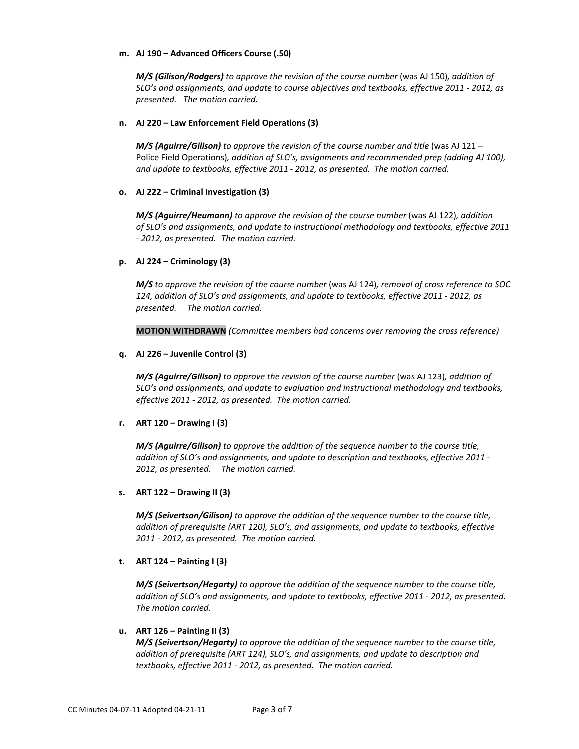### **m. AJ 190 – Advanced Officers Course (.50)**

*M/S* (Gilison/Rodgers) to approve the revision of the course number (was AJ 150), addition of *SLO's and assignments, and update to course objectives and textbooks, effective 2011 - 2012, as presented. The motion carried.*

## **n. AJ 220 – Law Enforcement Field Operations (3)**

*M/S (Aguirre/Gilison)* to approve the revision of the course number and title (was AJ 121 – Police Field Operations)*, addition of SLO's, assignments and recommended prep (adding AJ 100), and update to textbooks, effective 2011 - 2012, as presented. The motion carried.*

## **o. AJ 222 – Criminal Investigation (3)**

*M/S (Aguirre/Heumann) to approve the revision of the course number* (was AJ 122)*, addition of SLO's and assignments, and update to instructional methodology and textbooks, effective 2011 - 2012, as presented. The motion carried.*

## **p. AJ 224 – Criminology (3)**

*M/S to approve the revision of the course number* (was AJ 124)*, removal of cross reference to SOC 124, addition of SLO's and assignments, and update to textbooks, effective 2011 - 2012, as presented. The motion carried.*

**MOTION WITHDRAWN** *(Committee members had concerns over removing the cross reference)*

## **q. AJ 226 – Juvenile Control (3)**

*M/S (Aguirre/Gilison) to approve the revision of the course number* (was AJ 123)*, addition of SLO's and assignments, and update to evaluation and instructional methodology and textbooks, effective 2011 - 2012, as presented. The motion carried.*

## **r. ART 120 – Drawing I (3)**

*M/S (Aguirre/Gilison) to approve the addition of the sequence number to the course title, addition of SLO's and assignments, and update to description and textbooks, effective 2011 - 2012, as presented. The motion carried.*

#### **s. ART 122 – Drawing II (3)**

*M/S (Seivertson/Gilison) to approve the addition of the sequence number to the course title, addition of prerequisite (ART 120), SLO's, and assignments, and update to textbooks, effective 2011 - 2012, as presented. The motion carried.*

#### **t. ART 124 – Painting I (3)**

*M/S (Seivertson/Hegarty) to approve the addition of the sequence number to the course title, addition of SLO's and assignments, and update to textbooks, effective 2011 - 2012, as presented. The motion carried.*

#### **u. ART 126 – Painting II (3)**

*M/S (Seivertson/Hegarty) to approve the addition of the sequence number to the course title, addition of prerequisite (ART 124), SLO's, and assignments, and update to description and textbooks, effective 2011 - 2012, as presented. The motion carried.*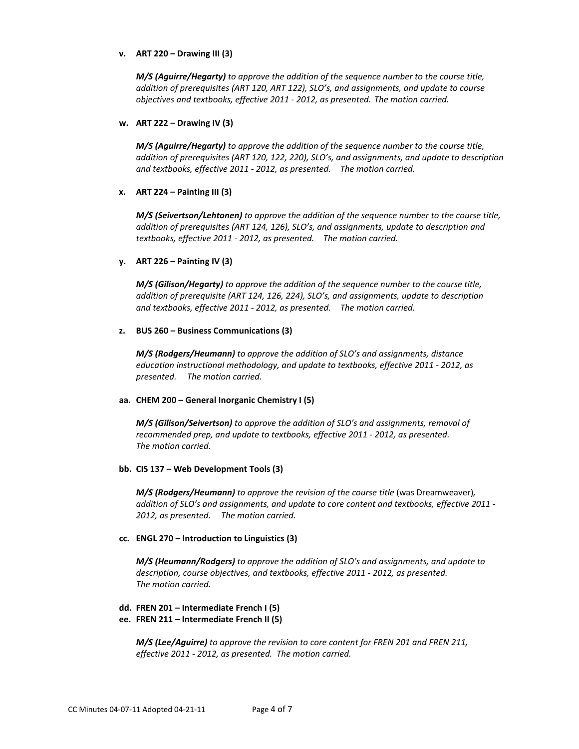### **v. ART 220 – Drawing III (3)**

*M/S (Aguirre/Hegarty) to approve the addition of the sequence number to the course title, addition of prerequisites (ART 120, ART 122), SLO's, and assignments, and update to course objectives and textbooks, effective 2011 - 2012, as presented. The motion carried.*

### **w. ART 222 – Drawing IV (3)**

*M/S (Aguirre/Hegarty) to approve the addition of the sequence number to the course title, addition of prerequisites (ART 120, 122, 220), SLO's, and assignments, and update to description and textbooks, effective 2011 - 2012, as presented. The motion carried.*

## **x. ART 224 – Painting III (3)**

*M/S (Seivertson/Lehtonen) to approve the addition of the sequence number to the course title, addition of prerequisites (ART 124, 126), SLO's, and assignments, update to description and textbooks, effective 2011 - 2012, as presented. The motion carried.*

## **y. ART 226 – Painting IV (3)**

*M/S (Gilison/Hegarty) to approve the addition of the sequence number to the course title, addition of prerequisite (ART 124, 126, 224), SLO's, and assignments, update to description and textbooks, effective 2011 - 2012, as presented. The motion carried.*

## **z. BUS 260 – Business Communications (3)**

*M/S (Rodgers/Heumann) to approve the addition of SLO's and assignments, distance education instructional methodology, and update to textbooks, effective 2011 - 2012, as presented. The motion carried.*

#### **aa. CHEM 200 – General Inorganic Chemistry I (5)**

*M/S (Gilison/Seivertson) to approve the addition of SLO's and assignments, removal of recommended prep, and update to textbooks, effective 2011 - 2012, as presented. The motion carried.*

#### **bb. CIS 137 – Web Development Tools (3)**

*M/S* (Rodgers/Heumann) to approve the revision of the course title (was Dreamweaver), *addition of SLO's and assignments, and update to core content and textbooks, effective 2011 - 2012, as presented. The motion carried.*

#### **cc. ENGL 270 – Introduction to Linguistics (3)**

*M/S (Heumann/Rodgers) to approve the addition of SLO's and assignments, and update to description, course objectives, and textbooks, effective 2011 - 2012, as presented. The motion carried.*

### **dd. FREN 201 – Intermediate French I (5)**

**ee. FREN 211 – Intermediate French II (5)**

*M/S (Lee/Aguirre) to approve the revision to core content for FREN 201 and FREN 211, effective 2011 - 2012, as presented. The motion carried.*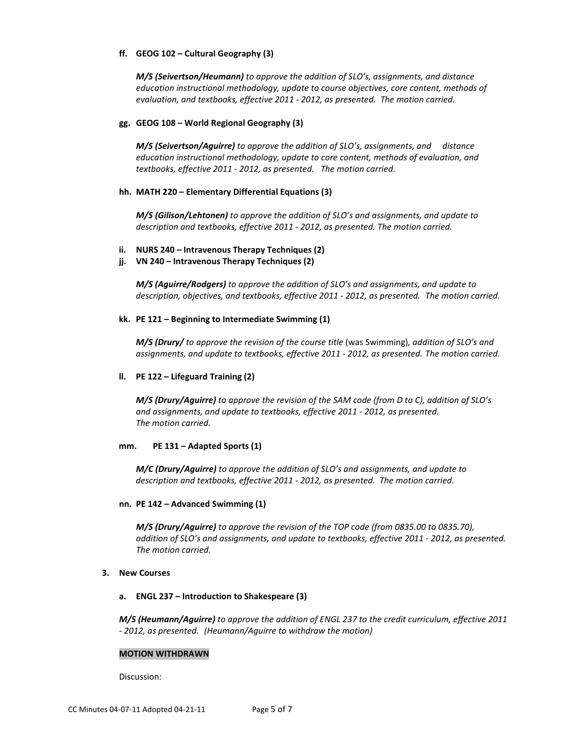## **ff. GEOG 102 – Cultural Geography (3)**

*M/S (Seivertson/Heumann) to approve the addition of SLO's, assignments, and distance education instructional methodology, update to course objectives, core content, methods of evaluation, and textbooks, effective 2011 - 2012, as presented. The motion carried.*

### **gg. GEOG 108 – World Regional Geography (3)**

*M/S (Seivertson/Aguirre) to approve the addition of SLO's, assignments, and distance education instructional methodology, update to core content, methods of evaluation, and textbooks, effective 2011 - 2012, as presented. The motion carried.*

## **hh. MATH 220 – Elementary Differential Equations (3)**

*M/S (Gilison/Lehtonen) to approve the addition of SLO's and assignments, and update to description and textbooks, effective 2011 - 2012, as presented. The motion carried.*

- **ii. NURS 240 – Intravenous Therapy Techniques (2)**
- **jj. VN 240 – Intravenous Therapy Techniques (2)**

*M/S (Aguirre/Rodgers) to approve the addition of SLO's and assignments, and update to description, objectives, and textbooks, effective 2011 - 2012, as presented. The motion carried.*

#### **kk. PE 121 – Beginning to Intermediate Swimming (1)**

*M/S (Drury/* to approve the revision of the course title (was Swimming), addition of SLO's and *assignments, and update to textbooks, effective 2011 - 2012, as presented. The motion carried.*

## **ll. PE 122 – Lifeguard Training (2)**

*M/S (Drury/Aguirre) to approve the revision of the SAM code (from D to C), addition of SLO's and assignments, and update to textbooks, effective 2011 - 2012, as presented. The motion carried.*

#### **mm. PE 131 – Adapted Sports (1)**

*M/C (Drury/Aguirre) to approve the addition of SLO's and assignments, and update to description and textbooks, effective 2011 - 2012, as presented. The motion carried.*

#### **nn. PE 142 – Advanced Swimming (1)**

*M/S (Drury/Aguirre) to approve the revision of the TOP code (from 0835.00 to 0835.70), addition of SLO's and assignments, and update to textbooks, effective 2011 - 2012, as presented. The motion carried.*

#### **3. New Courses**

#### **a. ENGL 237 – Introduction to Shakespeare (3)**

*M/S (Heumann/Aguirre) to approve the addition of ENGL 237 to the credit curriculum, effective 2011 - 2012, as presented. (Heumann/Aguirre to withdraw the motion)*

#### **MOTION WITHDRAWN**

Discussion: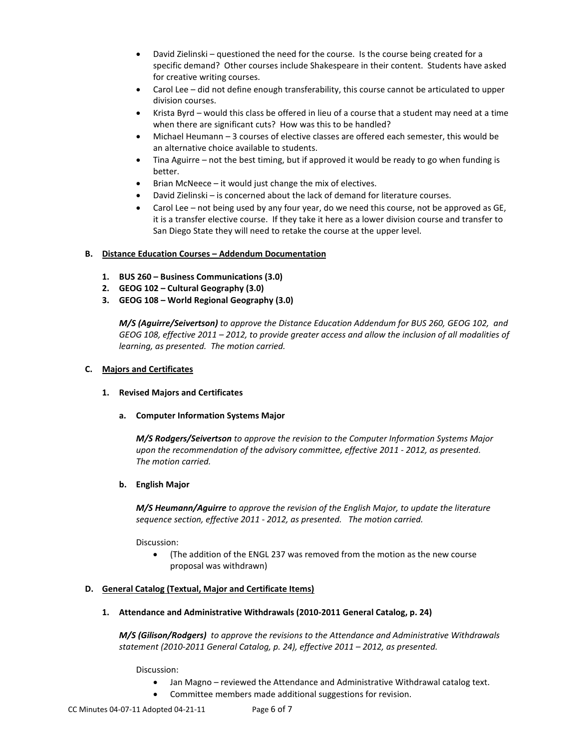- David Zielinski questioned the need for the course. Is the course being created for a specific demand? Other courses include Shakespeare in their content. Students have asked for creative writing courses.
- Carol Lee did not define enough transferability, this course cannot be articulated to upper division courses.
- Krista Byrd would this class be offered in lieu of a course that a student may need at a time when there are significant cuts? How was this to be handled?
- Michael Heumann 3 courses of elective classes are offered each semester, this would be an alternative choice available to students.
- Tina Aguirre not the best timing, but if approved it would be ready to go when funding is better.
- Brian McNeece it would just change the mix of electives.
- David Zielinski is concerned about the lack of demand for literature courses.
- Carol Lee not being used by any four year, do we need this course, not be approved as GE, it is a transfer elective course. If they take it here as a lower division course and transfer to San Diego State they will need to retake the course at the upper level.

# **B. Distance Education Courses – Addendum Documentation**

- **1. BUS 260 – Business Communications (3.0)**
- **2. GEOG 102 – Cultural Geography (3.0)**
- **3. GEOG 108 – World Regional Geography (3.0)**

*M/S (Aguirre/Seivertson) to approve the Distance Education Addendum for BUS 260, GEOG 102, and GEOG 108, effective 2011 – 2012, to provide greater access and allow the inclusion of all modalities of learning, as presented. The motion carried.*

# **C. Majors and Certificates**

## **1. Revised Majors and Certificates**

**a. Computer Information Systems Major**

*M/S Rodgers/Seivertson to approve the revision to the Computer Information Systems Major upon the recommendation of the advisory committee, effective 2011 - 2012, as presented. The motion carried.*

## **b. English Major**

*M/S Heumann/Aguirre to approve the revision of the English Major, to update the literature sequence section, effective 2011 - 2012, as presented. The motion carried.*

Discussion:

• (The addition of the ENGL 237 was removed from the motion as the new course proposal was withdrawn)

## **D. General Catalog (Textual, Major and Certificate Items)**

**1. Attendance and Administrative Withdrawals (2010-2011 General Catalog, p. 24)**

*M/S (Gilison/Rodgers) to approve the revisions to the Attendance and Administrative Withdrawals statement (2010-2011 General Catalog, p. 24), effective 2011 – 2012, as presented.*

Discussion:

- Jan Magno reviewed the Attendance and Administrative Withdrawal catalog text.
- Committee members made additional suggestions for revision.